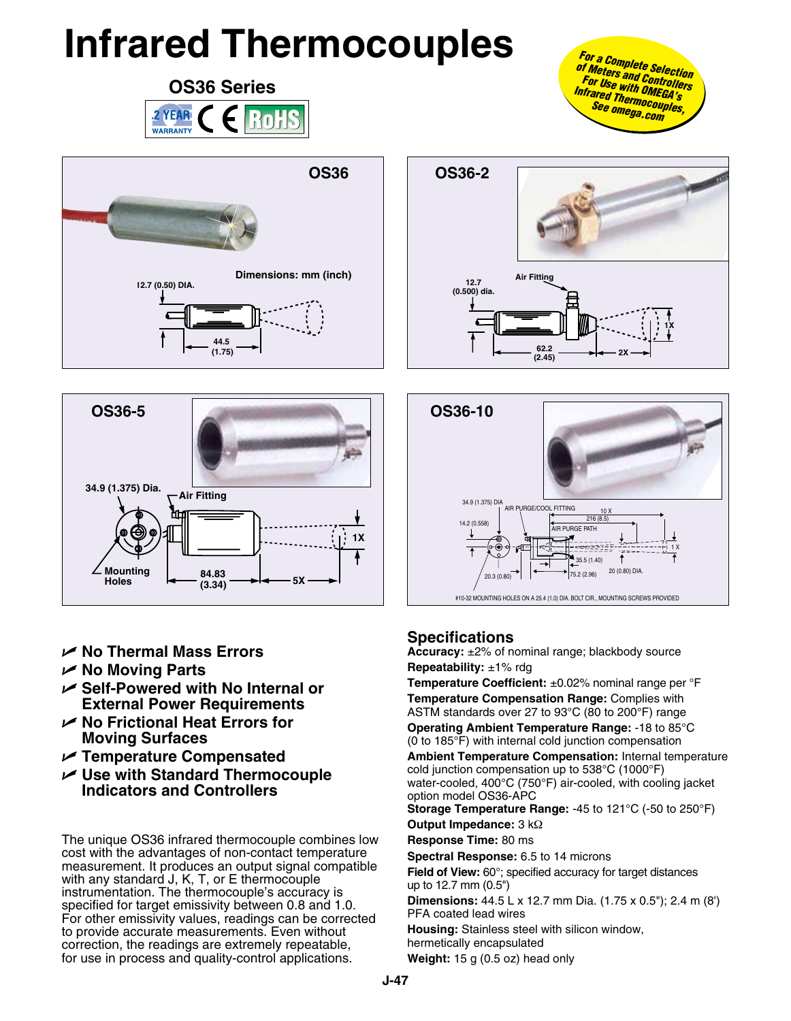## **Infrared Thermocouples**







- U **No Thermal Mass Errors**
- U **No Moving Parts**
- U **Self-Powered with No Internal or External Power Requirements**
- U **No Frictional Heat Errors for Moving Surfaces**
- U **Temperature Compensated**
- U **Use with Standard Thermocouple Indicators and Controllers**

The unique OS36 infrared thermocouple combines low cost with the advantages of non-contact temperature measurement. It produces an output signal compatible with any standard J, K, T, or E thermocouple instrumentation. The thermocouple's accuracy is specified for target emissivity between 0.8 and 1.0. For other emissivity values, readings can be corrected to provide accurate measurements. Even without correction, the readings are extremely repeatable, for use in process and quality-control applications.







## **Specifications**

**Accuracy:** ±2% of nominal range; blackbody source **Repeatability:** ±1% rdg

**Temperature Coefficient:** ±0.02% nominal range per °F **Temperature Compensation Range:** Complies with ASTM standards over 27 to 93°C (80 to 200°F) range

**Operating Ambient Temperature Range:** -18 to 85°C (0 to 185°F) with internal cold junction compensation

**Ambient Temperature Compensation:** Internal temperature cold junction compensation up to 538°C (1000°F) water-cooled, 400°C (750°F) air-cooled, with cooling jacket option model OS36-APC

**Storage Temperature Range:** -45 to 121°C (-50 to 250°F) **Output Impedance:** 3 kΩ

**Response Time:** 80 ms

**Spectral Response:** 6.5 to 14 microns

**Field of View:** 60°; specified accuracy for target distances up to 12.7 mm (0.5")

**Dimensions:** 44.5 L x 12.7 mm Dia. (1.75 x 0.5"); 2.4 m (8') PFA coated lead wires

**Housing:** Stainless steel with silicon window,

hermetically encapsulated

**Weight:** 15 g (0.5 oz) head only